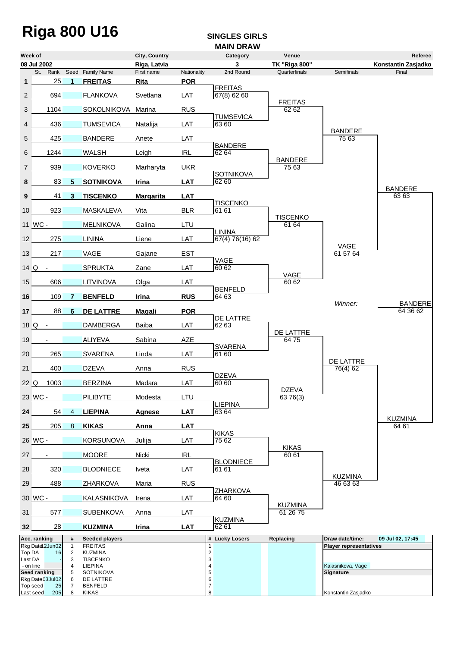# Riga 800 U16 **SINGLES GIRLS**

### **MAIN DRAW**

|                  | Week of                           |                   |                                             | City, Country      |                           | Category                  | Venue                      |                                | Referee                 |
|------------------|-----------------------------------|-------------------|---------------------------------------------|--------------------|---------------------------|---------------------------|----------------------------|--------------------------------|-------------------------|
|                  | 08 Jul 2002                       |                   |                                             | Riga, Latvia       |                           | 3                         | <b>TK "Riga 800"</b>       |                                | Konstantin Zasjadko     |
| 1                | 25                                | 1                 | St. Rank Seed Family Name<br><b>FREITAS</b> | First name<br>Rita | Nationality<br><b>POR</b> | 2nd Round                 | Quarterfinals              | <b>Semifinals</b>              | Final                   |
|                  |                                   |                   |                                             |                    |                           | <b>FREITAS</b>            |                            |                                |                         |
| $\overline{2}$   | 694                               |                   | <b>FLANKOVA</b>                             | Svetlana           | LAT                       | 67(8) 62 60               | <b>FREITAS</b>             |                                |                         |
| 3                | 1104                              |                   | SOKOLNIKOVA Marina                          |                    | <b>RUS</b>                |                           | 62 62                      |                                |                         |
| 4                | 436                               |                   | <b>TUMSEVICA</b>                            | Natalija           | LAT                       | <b>TUMSEVICA</b><br>63 60 |                            |                                |                         |
| 5                | 425                               |                   | <b>BANDERE</b>                              | Anete              | LAT                       |                           |                            | <b>BANDERE</b><br>75 63        |                         |
| 6                | 1244                              |                   | <b>WALSH</b>                                | Leigh              | <b>IRL</b>                | <b>BANDERE</b><br>62 64   |                            |                                |                         |
| $\overline{7}$   | 939                               |                   | <b>KOVERKO</b>                              | Marharyta          | <b>UKR</b>                |                           | <b>BANDERE</b><br>75 63    |                                |                         |
| 8                | 83                                | 5                 | <b>SOTNIKOVA</b>                            | Irina              | <b>LAT</b>                | <b>SOTNIKOVA</b><br>62 60 |                            |                                |                         |
| 9                | 41                                | 3                 | <b>TISCENKO</b>                             | <b>Margarita</b>   | <b>LAT</b>                |                           |                            |                                | <b>BANDERE</b><br>63 63 |
|                  |                                   |                   |                                             |                    |                           | <b>TISCENKO</b>           |                            |                                |                         |
| 10               | 923                               |                   | <b>MASKALEVA</b>                            | Vita               | <b>BLR</b>                | 61 61                     | <b>TISCENKO</b>            |                                |                         |
|                  | 11 WC -                           |                   | <b>MELNIKOVA</b>                            | Galina             | LTU                       | <b>LININA</b>             | 61 64                      |                                |                         |
| 12 <sup>2</sup>  | 275                               |                   | <b>LININA</b>                               | Liene              | LAT                       | 67(4) 76(16) 62           |                            |                                |                         |
| 13 <sup>1</sup>  | 217                               |                   | <b>VAGE</b>                                 | Gajane             | <b>EST</b>                |                           |                            | VAGE<br>61 57 64               |                         |
|                  | $14Q -$                           |                   | <b>SPRUKTA</b>                              | Zane               | LAT                       | VAGE<br>60 62             |                            |                                |                         |
| 15 <sup>15</sup> | 606                               |                   | <b>LITVINOVA</b>                            | Olga               | LAT                       |                           | VAGE<br>60 62              |                                |                         |
| 16               | 109                               | 7                 | <b>BENFELD</b>                              | Irina              | <b>RUS</b>                | <b>BENFELD</b><br>64 63   |                            |                                |                         |
|                  |                                   |                   |                                             |                    |                           |                           |                            | Winner:                        | <b>BANDERE</b>          |
| 17 <sup>17</sup> | 88                                | 6                 | <b>DE LATTRE</b>                            | Magali             | <b>POR</b>                | DE LATTRE                 |                            |                                | 64 36 62                |
|                  | 18 Q -                            |                   | <b>DAMBERGA</b>                             | Baiba              | LAT                       | 62 63                     | DE LATTRE                  |                                |                         |
| 19               |                                   |                   | <b>ALIYEVA</b>                              | Sabina             | AZE                       | <b>SVARENA</b>            | 6475                       |                                |                         |
| 20               | 265                               |                   | <b>SVARENA</b>                              | Linda              | LAT                       | 61 60                     |                            |                                |                         |
| 21               | 400                               |                   | <b>DZEVA</b>                                | Anna               | <b>RUS</b>                |                           |                            | DE LATTRE<br>76(4) 62          |                         |
| $22 \Omega$      | 1003                              |                   | <b>BERZINA</b>                              | Madara             | LAT                       | <b>DZEVA</b><br>60 60     |                            |                                |                         |
|                  | 23 WC -                           |                   | <b>PILIBYTE</b>                             | Modesta            | LTU                       |                           | <b>DZEVA</b><br>63 76(3)   |                                |                         |
|                  |                                   |                   |                                             |                    |                           | <b>LIEPINA</b>            |                            |                                |                         |
| 24               | 54                                | 4                 | <b>LIEPINA</b>                              | Agnese             | <b>LAT</b>                | 63 64                     |                            |                                | KUZMINA                 |
| 25               | 205                               | 8                 | <b>KIKAS</b>                                | Anna               | <b>LAT</b>                | KIKAS                     |                            |                                | 64 61                   |
|                  | 26 WC -                           |                   | <b>KORSUNOVA</b>                            | Julija             | LAT                       | 75 62                     | <b>KIKAS</b>               |                                |                         |
| 27               |                                   |                   | <b>MOORE</b>                                | Nicki              | <b>IRL</b>                |                           | 60 61                      |                                |                         |
| 28               | 320                               |                   | <b>BLODNIECE</b>                            | Iveta              | LAT                       | <b>BLODNIECE</b><br>61 61 |                            | <b>KUZMINA</b>                 |                         |
| 29               | 488                               |                   | ZHARKOVA                                    | Maria              | <b>RUS</b>                |                           |                            | 46 63 63                       |                         |
|                  | 30 WC-                            |                   | KALASNIKOVA                                 | Irena              | LAT                       | ZHARKOVA<br>64 60         |                            |                                |                         |
| 31               | 577                               |                   | <b>SUBENKOVA</b>                            | Anna               | LAT                       |                           | <b>KUZMINA</b><br>61 26 75 |                                |                         |
| 32 <sub>2</sub>  | 28                                |                   | <b>KUZMINA</b>                              | Irina              | <b>LAT</b>                | <b>KUZMINA</b><br>62 61   |                            |                                |                         |
|                  | Acc. ranking                      | #                 | <b>Seeded players</b>                       |                    |                           | # Lucky Losers            | Replacing                  | Draw date/time:                | 09 Jul 02, 17:45        |
| Top DA           | Rkg Datel 2Jun02<br>16            | $\mathbf{1}$<br>2 | <b>FREITAS</b><br><b>KUZMINA</b>            |                    |                           | $\boldsymbol{2}$          |                            | <b>Player representatives</b>  |                         |
| Last DA          |                                   | 3                 | <b>TISCENKO</b>                             |                    |                           | 3                         |                            |                                |                         |
| - on line        | Seed ranking                      | 4<br>5            | LIEPINA<br><b>SOTNIKOVA</b>                 |                    |                           | 4<br>5                    |                            | Kalasnikova, Vage<br>Signature |                         |
|                  | Rkg Date03Jul02<br>Top seed<br>25 | 6<br>7            | DE LATTRE<br><b>BENFELD</b>                 |                    |                           | 6<br>$\overline{7}$       |                            |                                |                         |
|                  | Last seed<br>205                  | 8                 | KIKAS                                       |                    |                           | 8                         |                            | Konstantin Zasjadko            |                         |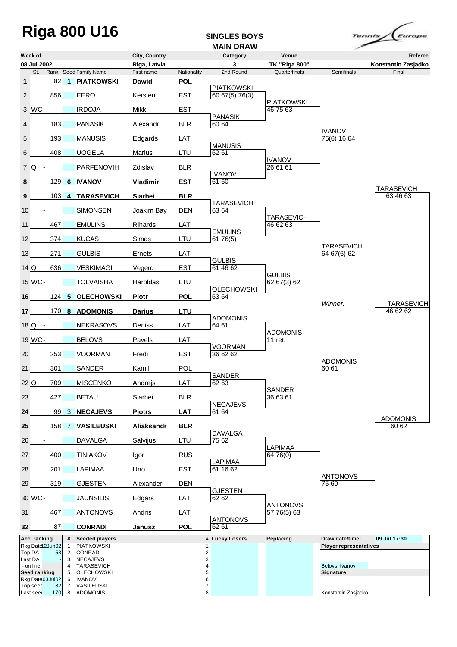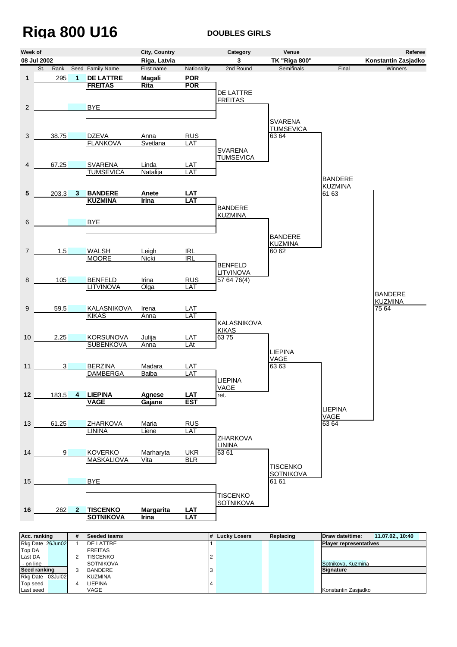## **Riga 800 U16 DOUBLES GIRLS**



| Rkg Date 26Jun02 |  | DE LATTRE        |  | <b>Player representatives</b> |
|------------------|--|------------------|--|-------------------------------|
| <b>Top DA</b>    |  | <b>FREITAS</b>   |  |                               |
| Last DA          |  | TISCENKO         |  |                               |
| - on line        |  | <b>SOTNIKOVA</b> |  | Sotnikova, Kuzmina            |
| Seed ranking     |  | <b>BANDERE</b>   |  | <b>Signature</b>              |
| Rkg Date 03Jul02 |  | <b>KUZMINA</b>   |  |                               |
| Top seed         |  | LIEPINA          |  |                               |
| Last seed        |  | VAGE             |  | Konstantin Zasjadko           |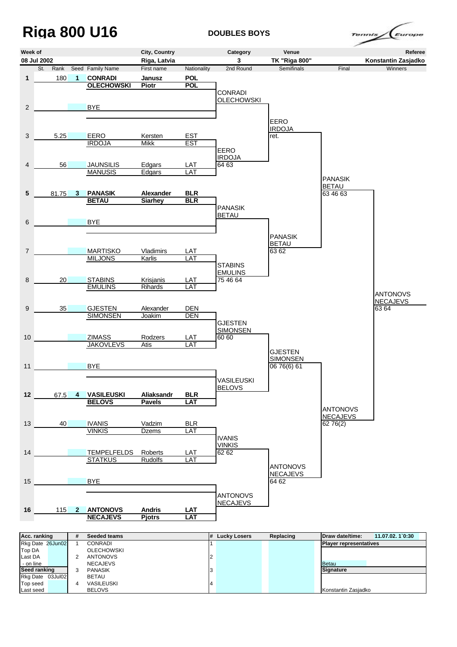## **Riga 800 U16 DOUBLES BOYS**

/<sub>Europe</sub> ennis,



| Rkg Date 26Jun02 |   | CONRADI           |  | <b>Player representatives</b> |
|------------------|---|-------------------|--|-------------------------------|
| Top DA           |   | <b>OLECHOWSKI</b> |  |                               |
| Last DA          |   | <b>ANTONOVS</b>   |  |                               |
| - on line        |   | <b>NECAJEVS</b>   |  | Betau                         |
| Seed ranking     |   | <b>PANASIK</b>    |  | Sianature                     |
| Rkg Date 03Jul02 |   | <b>BETAU</b>      |  |                               |
| Top seed         | 4 | VASILEUSKI        |  |                               |
| Last seed        |   | <b>BELOVS</b>     |  | Konstantin Zasjadko           |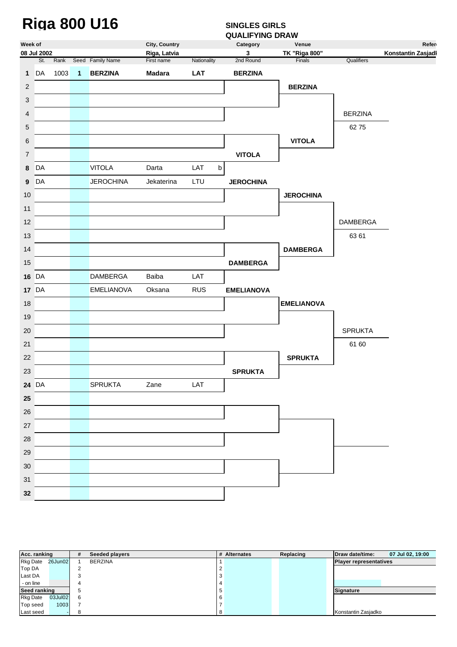### Riga 800 U16 **SINGLES GIRLS**

### **QUALIFYING DRAW**

| Week of<br>Category<br>Venue<br>08 Jul 2002<br>3<br><b>TK "Riga 800"</b><br>Konstantin Zasjadl<br>Riga, Latvia<br>Rank Seed Family Name<br>First name<br>Nationality<br>Finals<br>Qualifiers<br>St.<br>2nd Round<br>1003<br>DA<br>$\mathbf{1}$<br><b>BERZINA</b><br><b>Madara</b><br>LAT<br><b>BERZINA</b><br>$\mathbf{1}$<br><b>BERZINA</b><br>$\overline{c}$<br>3<br><b>BERZINA</b><br>4<br>6275<br>5<br><b>VITOLA</b><br>6<br><b>VITOLA</b><br>7<br>DA<br><b>VITOLA</b><br>LAT<br>$\sf b$<br>Darta<br>8<br>DA<br>LTU<br><b>JEROCHINA</b><br>Jekaterina<br>$\boldsymbol{9}$<br><b>JEROCHINA</b><br>10<br><b>JEROCHINA</b><br>11<br><b>DAMBERGA</b><br>12<br>63 61<br>13<br><b>DAMBERGA</b><br>14<br>15<br><b>DAMBERGA</b><br><b>16 DA</b><br><b>DAMBERGA</b><br>Baiba<br>LAT<br><b>17 DA</b><br><b>EMELIANOVA</b><br><b>RUS</b><br>Oksana<br><b>EMELIANOVA</b><br>18<br><b>EMELIANOVA</b><br>19<br><b>SPRUKTA</b><br>20<br>61 60<br>21<br><b>SPRUKTA</b><br>22<br>23<br><b>SPRUKTA</b><br><b>SPRUKTA</b><br>Zane<br>LAT<br>24 DA<br>25<br>26<br>27<br>28<br>29<br>30<br>31<br>32 | <b>QUALIFYING DRAW</b> |  |  |               |  |  |  |              |  |  |  |  |
|------------------------------------------------------------------------------------------------------------------------------------------------------------------------------------------------------------------------------------------------------------------------------------------------------------------------------------------------------------------------------------------------------------------------------------------------------------------------------------------------------------------------------------------------------------------------------------------------------------------------------------------------------------------------------------------------------------------------------------------------------------------------------------------------------------------------------------------------------------------------------------------------------------------------------------------------------------------------------------------------------------------------------------------------------------------------------------|------------------------|--|--|---------------|--|--|--|--------------|--|--|--|--|
|                                                                                                                                                                                                                                                                                                                                                                                                                                                                                                                                                                                                                                                                                                                                                                                                                                                                                                                                                                                                                                                                                    |                        |  |  | City, Country |  |  |  | <b>Refer</b> |  |  |  |  |
|                                                                                                                                                                                                                                                                                                                                                                                                                                                                                                                                                                                                                                                                                                                                                                                                                                                                                                                                                                                                                                                                                    |                        |  |  |               |  |  |  |              |  |  |  |  |
|                                                                                                                                                                                                                                                                                                                                                                                                                                                                                                                                                                                                                                                                                                                                                                                                                                                                                                                                                                                                                                                                                    |                        |  |  |               |  |  |  |              |  |  |  |  |
|                                                                                                                                                                                                                                                                                                                                                                                                                                                                                                                                                                                                                                                                                                                                                                                                                                                                                                                                                                                                                                                                                    |                        |  |  |               |  |  |  |              |  |  |  |  |
|                                                                                                                                                                                                                                                                                                                                                                                                                                                                                                                                                                                                                                                                                                                                                                                                                                                                                                                                                                                                                                                                                    |                        |  |  |               |  |  |  |              |  |  |  |  |
|                                                                                                                                                                                                                                                                                                                                                                                                                                                                                                                                                                                                                                                                                                                                                                                                                                                                                                                                                                                                                                                                                    |                        |  |  |               |  |  |  |              |  |  |  |  |
|                                                                                                                                                                                                                                                                                                                                                                                                                                                                                                                                                                                                                                                                                                                                                                                                                                                                                                                                                                                                                                                                                    |                        |  |  |               |  |  |  |              |  |  |  |  |
|                                                                                                                                                                                                                                                                                                                                                                                                                                                                                                                                                                                                                                                                                                                                                                                                                                                                                                                                                                                                                                                                                    |                        |  |  |               |  |  |  |              |  |  |  |  |
|                                                                                                                                                                                                                                                                                                                                                                                                                                                                                                                                                                                                                                                                                                                                                                                                                                                                                                                                                                                                                                                                                    |                        |  |  |               |  |  |  |              |  |  |  |  |
|                                                                                                                                                                                                                                                                                                                                                                                                                                                                                                                                                                                                                                                                                                                                                                                                                                                                                                                                                                                                                                                                                    |                        |  |  |               |  |  |  |              |  |  |  |  |
|                                                                                                                                                                                                                                                                                                                                                                                                                                                                                                                                                                                                                                                                                                                                                                                                                                                                                                                                                                                                                                                                                    |                        |  |  |               |  |  |  |              |  |  |  |  |
|                                                                                                                                                                                                                                                                                                                                                                                                                                                                                                                                                                                                                                                                                                                                                                                                                                                                                                                                                                                                                                                                                    |                        |  |  |               |  |  |  |              |  |  |  |  |
|                                                                                                                                                                                                                                                                                                                                                                                                                                                                                                                                                                                                                                                                                                                                                                                                                                                                                                                                                                                                                                                                                    |                        |  |  |               |  |  |  |              |  |  |  |  |
|                                                                                                                                                                                                                                                                                                                                                                                                                                                                                                                                                                                                                                                                                                                                                                                                                                                                                                                                                                                                                                                                                    |                        |  |  |               |  |  |  |              |  |  |  |  |
|                                                                                                                                                                                                                                                                                                                                                                                                                                                                                                                                                                                                                                                                                                                                                                                                                                                                                                                                                                                                                                                                                    |                        |  |  |               |  |  |  |              |  |  |  |  |
|                                                                                                                                                                                                                                                                                                                                                                                                                                                                                                                                                                                                                                                                                                                                                                                                                                                                                                                                                                                                                                                                                    |                        |  |  |               |  |  |  |              |  |  |  |  |
|                                                                                                                                                                                                                                                                                                                                                                                                                                                                                                                                                                                                                                                                                                                                                                                                                                                                                                                                                                                                                                                                                    |                        |  |  |               |  |  |  |              |  |  |  |  |
|                                                                                                                                                                                                                                                                                                                                                                                                                                                                                                                                                                                                                                                                                                                                                                                                                                                                                                                                                                                                                                                                                    |                        |  |  |               |  |  |  |              |  |  |  |  |
|                                                                                                                                                                                                                                                                                                                                                                                                                                                                                                                                                                                                                                                                                                                                                                                                                                                                                                                                                                                                                                                                                    |                        |  |  |               |  |  |  |              |  |  |  |  |
|                                                                                                                                                                                                                                                                                                                                                                                                                                                                                                                                                                                                                                                                                                                                                                                                                                                                                                                                                                                                                                                                                    |                        |  |  |               |  |  |  |              |  |  |  |  |
|                                                                                                                                                                                                                                                                                                                                                                                                                                                                                                                                                                                                                                                                                                                                                                                                                                                                                                                                                                                                                                                                                    |                        |  |  |               |  |  |  |              |  |  |  |  |
|                                                                                                                                                                                                                                                                                                                                                                                                                                                                                                                                                                                                                                                                                                                                                                                                                                                                                                                                                                                                                                                                                    |                        |  |  |               |  |  |  |              |  |  |  |  |
|                                                                                                                                                                                                                                                                                                                                                                                                                                                                                                                                                                                                                                                                                                                                                                                                                                                                                                                                                                                                                                                                                    |                        |  |  |               |  |  |  |              |  |  |  |  |
|                                                                                                                                                                                                                                                                                                                                                                                                                                                                                                                                                                                                                                                                                                                                                                                                                                                                                                                                                                                                                                                                                    |                        |  |  |               |  |  |  |              |  |  |  |  |
|                                                                                                                                                                                                                                                                                                                                                                                                                                                                                                                                                                                                                                                                                                                                                                                                                                                                                                                                                                                                                                                                                    |                        |  |  |               |  |  |  |              |  |  |  |  |
|                                                                                                                                                                                                                                                                                                                                                                                                                                                                                                                                                                                                                                                                                                                                                                                                                                                                                                                                                                                                                                                                                    |                        |  |  |               |  |  |  |              |  |  |  |  |
|                                                                                                                                                                                                                                                                                                                                                                                                                                                                                                                                                                                                                                                                                                                                                                                                                                                                                                                                                                                                                                                                                    |                        |  |  |               |  |  |  |              |  |  |  |  |
|                                                                                                                                                                                                                                                                                                                                                                                                                                                                                                                                                                                                                                                                                                                                                                                                                                                                                                                                                                                                                                                                                    |                        |  |  |               |  |  |  |              |  |  |  |  |
|                                                                                                                                                                                                                                                                                                                                                                                                                                                                                                                                                                                                                                                                                                                                                                                                                                                                                                                                                                                                                                                                                    |                        |  |  |               |  |  |  |              |  |  |  |  |
|                                                                                                                                                                                                                                                                                                                                                                                                                                                                                                                                                                                                                                                                                                                                                                                                                                                                                                                                                                                                                                                                                    |                        |  |  |               |  |  |  |              |  |  |  |  |
|                                                                                                                                                                                                                                                                                                                                                                                                                                                                                                                                                                                                                                                                                                                                                                                                                                                                                                                                                                                                                                                                                    |                        |  |  |               |  |  |  |              |  |  |  |  |
|                                                                                                                                                                                                                                                                                                                                                                                                                                                                                                                                                                                                                                                                                                                                                                                                                                                                                                                                                                                                                                                                                    |                        |  |  |               |  |  |  |              |  |  |  |  |
|                                                                                                                                                                                                                                                                                                                                                                                                                                                                                                                                                                                                                                                                                                                                                                                                                                                                                                                                                                                                                                                                                    |                        |  |  |               |  |  |  |              |  |  |  |  |
|                                                                                                                                                                                                                                                                                                                                                                                                                                                                                                                                                                                                                                                                                                                                                                                                                                                                                                                                                                                                                                                                                    |                        |  |  |               |  |  |  |              |  |  |  |  |
|                                                                                                                                                                                                                                                                                                                                                                                                                                                                                                                                                                                                                                                                                                                                                                                                                                                                                                                                                                                                                                                                                    |                        |  |  |               |  |  |  |              |  |  |  |  |

| Acc. ranking    |         | #   | <b>Seeded players</b> | # Alternates | Replacing | Draw date/time:<br>07 Jul 02, 19:00 |
|-----------------|---------|-----|-----------------------|--------------|-----------|-------------------------------------|
| <b>Rkg Date</b> | 26Jun02 |     | <b>BERZINA</b>        |              |           | <b>Player representatives</b>       |
| Top DA          |         |     |                       |              |           |                                     |
| Last DA         |         |     |                       |              |           |                                     |
| - on line       |         |     |                       |              |           |                                     |
| Seed ranking    |         | ა   |                       | 5            |           | <b>Signature</b>                    |
| <b>Rkg Date</b> | 03Jul02 | - 6 |                       |              |           |                                     |
| Top seed        | 1003    |     |                       |              |           |                                     |
| Last seed       | . .     | 8   |                       |              |           | Konstantin Zasjadko                 |